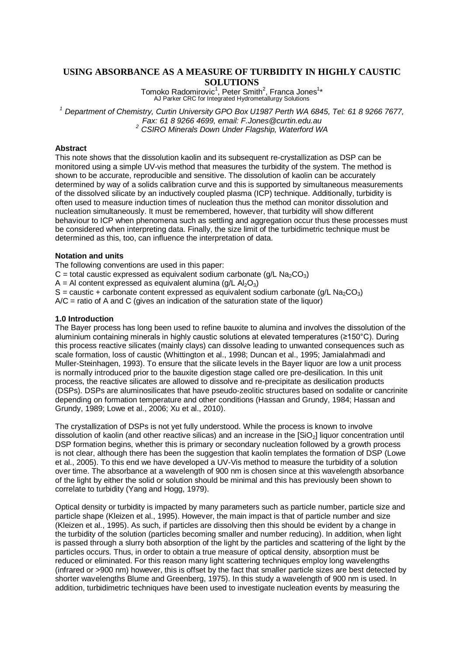# **USING ABSORBANCE AS A MEASURE OF TURBIDITY IN HIGHLY CAUSTIC SOLUTIONS**

Tomoko Radomirovic<sup>1</sup>, Peter Smith<sup>2</sup>, Franca Jones<sup>1</sup>\*<br>AJ Parker CRC for Integrated Hydrometallurgy Solutions

*<sup>1</sup> Department of Chemistry, Curtin University GPO Box U1987 Perth WA 6845, Tel: 61 8 9266 7677, Fax: 61 8 9266 4699, email: F.Jones@curtin.edu.au <sup>2</sup> CSIRO Minerals Down Under Flagship, Waterford WA*

### **Abstract**

This note shows that the dissolution kaolin and its subsequent re-crystallization as DSP can be monitored using a simple UV-vis method that measures the turbidity of the system. The method is shown to be accurate, reproducible and sensitive. The dissolution of kaolin can be accurately determined by way of a solids calibration curve and this is supported by simultaneous measurements of the dissolved silicate by an inductively coupled plasma (ICP) technique. Additionally, turbidity is often used to measure induction times of nucleation thus the method can monitor dissolution and nucleation simultaneously. It must be remembered, however, that turbidity will show different behaviour to ICP when phenomena such as settling and aggregation occur thus these processes must be considered when interpreting data. Finally, the size limit of the turbidimetric technique must be determined as this, too, can influence the interpretation of data.

### **Notation and units**

The following conventions are used in this paper:

 $C =$  total caustic expressed as equivalent sodium carbonate (g/L Na<sub>2</sub>CO<sub>3</sub>)

 $A = AI$  content expressed as equivalent alumina (g/L Al<sub>2</sub>O<sub>3</sub>)

S = caustic + carbonate content expressed as equivalent sodium carbonate (g/L Na<sub>2</sub>CO<sub>3</sub>)

 $A/C$  = ratio of A and C (gives an indication of the saturation state of the liguor)

### **1.0 Introduction**

The Bayer process has long been used to refine bauxite to alumina and involves the dissolution of the aluminium containing minerals in highly caustic solutions at elevated temperatures (≥150°C). During this process reactive silicates (mainly clays) can dissolve leading to unwanted consequences such as scale formation, loss of caustic (Whittington et al., 1998; Duncan et al., 1995; Jamialahmadi and Muller-Steinhagen, 1993). To ensure that the silicate levels in the Bayer liquor are low a unit process is normally introduced prior to the bauxite digestion stage called ore pre-desilication. In this unit process, the reactive silicates are allowed to dissolve and re-precipitate as desilication products (DSPs). DSPs are aluminosilicates that have pseudo-zeolitic structures based on sodalite or cancrinite depending on formation temperature and other conditions (Hassan and Grundy, 1984; Hassan and Grundy, 1989; Lowe et al., 2006; Xu et al., 2010).

The crystallization of DSPs is not yet fully understood. While the process is known to involve dissolution of kaolin (and other reactive silicas) and an increase in the [SiO<sub>2</sub>] liquor concentration until DSP formation begins, whether this is primary or secondary nucleation followed by a growth process is not clear, although there has been the suggestion that kaolin templates the formation of DSP (Lowe et al., 2005). To this end we have developed a UV-Vis method to measure the turbidity of a solution over time. The absorbance at a wavelength of 900 nm is chosen since at this wavelength absorbance of the light by either the solid or solution should be minimal and this has previously been shown to correlate to turbidity (Yang and Hogg, 1979).

Optical density or turbidity is impacted by many parameters such as particle number, particle size and particle shape (Kleizen et al., 1995). However, the main impact is that of particle number and size (Kleizen et al., 1995). As such, if particles are dissolving then this should be evident by a change in the turbidity of the solution (particles becoming smaller and number reducing). In addition, when light is passed through a slurry both absorption of the light by the particles and scattering of the light by the particles occurs. Thus, in order to obtain a true measure of optical density, absorption must be reduced or eliminated. For this reason many light scattering techniques employ long wavelengths (infrared or >900 nm) however, this is offset by the fact that smaller particle sizes are best detected by shorter wavelengths Blume and Greenberg, 1975). In this study a wavelength of 900 nm is used. In addition, turbidimetric techniques have been used to investigate nucleation events by measuring the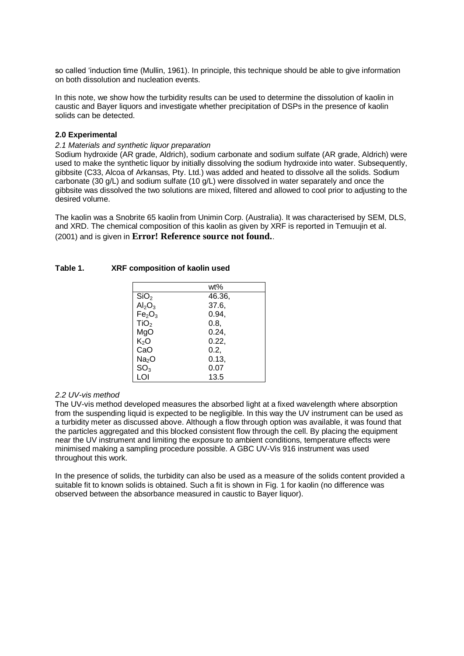so called 'induction time (Mullin, 1961). In principle, this technique should be able to give information on both dissolution and nucleation events.

In this note, we show how the turbidity results can be used to determine the dissolution of kaolin in caustic and Bayer liquors and investigate whether precipitation of DSPs in the presence of kaolin solids can be detected.

### **2.0 Experimental**

### *2.1 Materials and synthetic liquor preparation*

Sodium hydroxide (AR grade, Aldrich), sodium carbonate and sodium sulfate (AR grade, Aldrich) were used to make the synthetic liquor by initially dissolving the sodium hydroxide into water. Subsequently, gibbsite (C33, Alcoa of Arkansas, Pty. Ltd.) was added and heated to dissolve all the solids. Sodium carbonate (30 g/L) and sodium sulfate (10 g/L) were dissolved in water separately and once the gibbsite was dissolved the two solutions are mixed, filtered and allowed to cool prior to adjusting to the desired volume.

The kaolin was a Snobrite 65 kaolin from Unimin Corp. (Australia). It was characterised by SEM, DLS, and XRD. The chemical composition of this kaolin as given by XRF is reported in Temuujin et al. (2001) and is given in **Error! Reference source not found.**.

|                                | wt%    |
|--------------------------------|--------|
| SiO <sub>2</sub>               | 46.36, |
| Al <sub>2</sub> O <sub>3</sub> | 37.6,  |
| Fe <sub>2</sub> O <sub>3</sub> | 0.94,  |
| TiO <sub>2</sub>               | 0.8,   |
| MgO                            | 0.24,  |
| K <sub>2</sub> O               | 0.22,  |
| CaO                            | 0.2,   |
| Na <sub>2</sub> O              | 0.13,  |
| SO <sub>3</sub>                | 0.07   |
| LOI                            | 13.5   |

### **Table 1. XRF composition of kaolin used**

#### *2.2 UV-vis method*

The UV-vis method developed measures the absorbed light at a fixed wavelength where absorption from the suspending liquid is expected to be negligible. In this way the UV instrument can be used as a turbidity meter as discussed above. Although a flow through option was available, it was found that the particles aggregated and this blocked consistent flow through the cell. By placing the equipment near the UV instrument and limiting the exposure to ambient conditions, temperature effects were minimised making a sampling procedure possible. A GBC UV-Vis 916 instrument was used throughout this work.

In the presence of solids, the turbidity can also be used as a measure of the solids content provided a suitable fit to known solids is obtained. Such a fit is shown in Fig. 1 for kaolin (no difference was observed between the absorbance measured in caustic to Bayer liquor).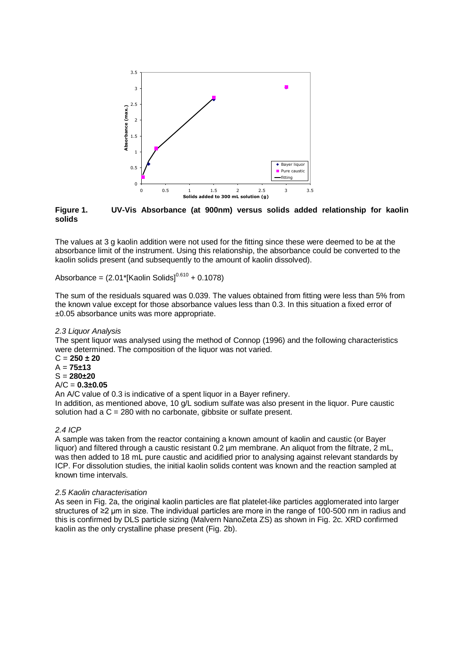

**Figure 1. UV-Vis Absorbance (at 900nm) versus solids added relationship for kaolin solids**

The values at 3 g kaolin addition were not used for the fitting since these were deemed to be at the absorbance limit of the instrument. Using this relationship, the absorbance could be converted to the kaolin solids present (and subsequently to the amount of kaolin dissolved).

Absorbance =  $(2.01^{\ast}$ [Kaolin Solids]<sup>0.610</sup> + 0.1078)

The sum of the residuals squared was 0.039. The values obtained from fitting were less than 5% from the known value except for those absorbance values less than 0.3. In this situation a fixed error of ±0.05 absorbance units was more appropriate.

### *2.3 Liquor Analysis*

The spent liquor was analysed using the method of Connop (1996) and the following characteristics were determined. The composition of the liquor was not varied.

C = **250 ± 20**  $A = 75 \pm 13$ S = **280±20**

# A/C = **0.3±0.05**

An A/C value of 0.3 is indicative of a spent liquor in a Bayer refinery. In addition, as mentioned above, 10  $q/L$  sodium sulfate was also present in the liquor. Pure caustic solution had a  $C = 280$  with no carbonate, gibbsite or sulfate present.

### *2.4 ICP*

A sample was taken from the reactor containing a known amount of kaolin and caustic (or Bayer liquor) and filtered through a caustic resistant 0.2  $\mu$ m membrane. An aliquot from the filtrate, 2 mL, was then added to 18 mL pure caustic and acidified prior to analysing against relevant standards by ICP. For dissolution studies, the initial kaolin solids content was known and the reaction sampled at known time intervals.

### *2.5 Kaolin characterisation*

As seen in Fig. 2a, the original kaolin particles are flat platelet-like particles agglomerated into larger structures of ≥2 µm in size. The individual particles are more in the range of 100-500 nm in radius and this is confirmed by DLS particle sizing (Malvern NanoZeta ZS) as shown in Fig. 2c. XRD confirmed kaolin as the only crystalline phase present (Fig. 2b).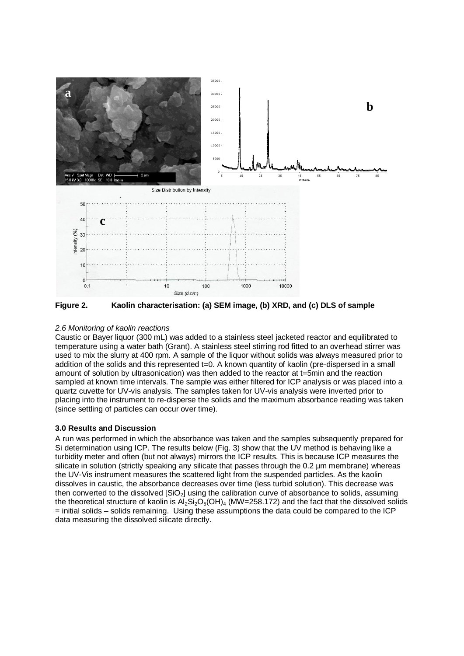

**Figure 2. Kaolin characterisation: (a) SEM image, (b) XRD, and (c) DLS of sample**

### *2.6 Monitoring of kaolin reactions*

Caustic or Bayer liquor (300 mL) was added to a stainless steel jacketed reactor and equilibrated to temperature using a water bath (Grant). A stainless steel stirring rod fitted to an overhead stirrer was used to mix the slurry at 400 rpm. A sample of the liquor without solids was always measured prior to addition of the solids and this represented t=0. A known quantity of kaolin (pre-dispersed in a small amount of solution by ultrasonication) was then added to the reactor at t=5min and the reaction sampled at known time intervals. The sample was either filtered for ICP analysis or was placed into a quartz cuvette for UV-vis analysis. The samples taken for UV-vis analysis were inverted prior to placing into the instrument to re-disperse the solids and the maximum absorbance reading was taken (since settling of particles can occur over time).

## **3.0 Results and Discussion**

A run was performed in which the absorbance was taken and the samples subsequently prepared for Si determination using ICP. The results below (Fig. 3) show that the UV method is behaving like a turbidity meter and often (but not always) mirrors the ICP results. This is because ICP measures the silicate in solution (strictly speaking any silicate that passes through the 0.2 µm membrane) whereas the UV-Vis instrument measures the scattered light from the suspended particles. As the kaolin dissolves in caustic, the absorbance decreases over time (less turbid solution). This decrease was then converted to the dissolved  $[SiO<sub>2</sub>]$  using the calibration curve of absorbance to solids, assuming the theoretical structure of kaolin is  $Al_2Si_2O_5(OH)_4$  (MW=258.172) and the fact that the dissolved solids = initial solids – solids remaining. Using these assumptions the data could be compared to the ICP data measuring the dissolved silicate directly.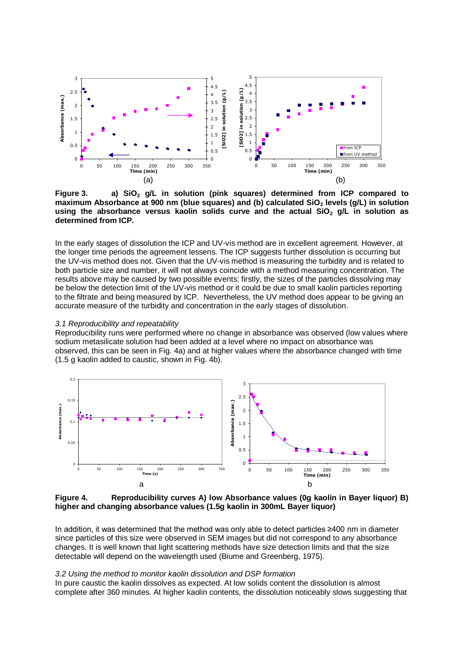

**Figure 3. a) SiO<sup>2</sup> g/L in solution (pink squares) determined from ICP compared to maximum Absorbance at 900 nm (blue squares) and (b) calculated SiO<sup>2</sup> levels (g/L) in solution using the absorbance versus kaolin solids curve and the actual SiO<sup>2</sup> g/L in solution as determined from ICP.**

In the early stages of dissolution the ICP and UV-vis method are in excellent agreement. However, at the longer time periods the agreement lessens. The ICP suggests further dissolution is occurring but the UV-vis method does not. Given that the UV-vis method is measuring the turbidity and is related to both particle size and number, it will not always coincide with a method measuring concentration. The results above may be caused by two possible events; firstly, the sizes of the particles dissolving may be below the detection limit of the UV-vis method or it could be due to small kaolin particles reporting to the filtrate and being measured by ICP. Nevertheless, the UV method does appear to be giving an accurate measure of the turbidity and concentration in the early stages of dissolution.

#### *3.1 Reproducibility and repeatability*

Reproducibility runs were performed where no change in absorbance was observed (low values where sodium metasilicate solution had been added at a level where no impact on absorbance was observed, this can be seen in Fig. 4a) and at higher values where the absorbance changed with time (1.5 g kaolin added to caustic, shown in Fig. 4b).



**Figure 4. Reproducibility curves A) low Absorbance values (0g kaolin in Bayer liquor) B) higher and changing absorbance values (1.5g kaolin in 300mL Bayer liquor)**

In addition, it was determined that the method was only able to detect particles ≥400 nm in diameter since particles of this size were observed in SEM images but did not correspond to any absorbance changes. It is well known that light scattering methods have size detection limits and that the size detectable will depend on the wavelength used (Biume and Greenberg, 1975).

#### *3.2 Using the method to monitor kaolin dissolution and DSP formation*

In pure caustic the kaolin dissolves as expected. At low solids content the dissolution is almost complete after 360 minutes. At higher kaolin contents, the dissolution noticeably slows suggesting that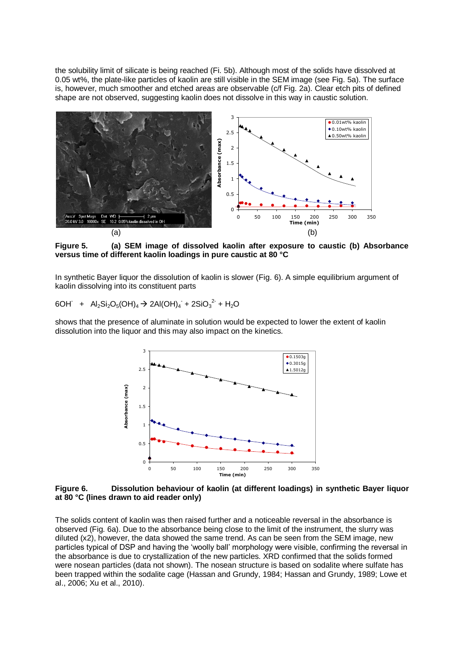the solubility limit of silicate is being reached (Fi. 5b). Although most of the solids have dissolved at 0.05 wt%, the plate-like particles of kaolin are still visible in the SEM image (see Fig. 5a). The surface is, however, much smoother and etched areas are observable (c/f Fig. 2a). Clear etch pits of defined shape are not observed, suggesting kaolin does not dissolve in this way in caustic solution.



**Figure 5. (a) SEM image of dissolved kaolin after exposure to caustic (b) Absorbance versus time of different kaolin loadings in pure caustic at 80 °C**

In synthetic Bayer liquor the dissolution of kaolin is slower (Fig. 6). A simple equilibrium argument of kaolin dissolving into its constituent parts

$$
6OH + Al_2Si_2O_5(OH)_4 \rightarrow 2Al(OH)_4 + 2SiO_3^2 + H_2O
$$

shows that the presence of aluminate in solution would be expected to lower the extent of kaolin dissolution into the liquor and this may also impact on the kinetics.



**Figure 6. Dissolution behaviour of kaolin (at different loadings) in synthetic Bayer liquor at 80 °C (lines drawn to aid reader only)**

The solids content of kaolin was then raised further and a noticeable reversal in the absorbance is observed (Fig. 6a). Due to the absorbance being close to the limit of the instrument, the slurry was diluted (x2), however, the data showed the same trend. As can be seen from the SEM image, new particles typical of DSP and having the 'woolly ball' morphology were visible, confirming the reversal in the absorbance is due to crystallization of the new particles. XRD confirmed that the solids formed were nosean particles (data not shown). The nosean structure is based on sodalite where sulfate has been trapped within the sodalite cage (Hassan and Grundy, 1984; Hassan and Grundy, 1989; Lowe et al., 2006; Xu et al., 2010).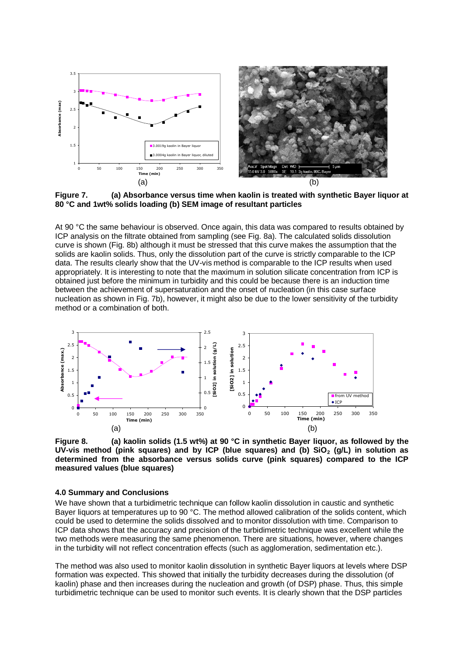

**Figure 7. (a) Absorbance versus time when kaolin is treated with synthetic Bayer liquor at 80 °C and 1wt% solids loading (b) SEM image of resultant particles** 

At 90 °C the same behaviour is observed. Once again, this data was compared to results obtained by ICP analysis on the filtrate obtained from sampling (see Fig. 8a). The calculated solids dissolution curve is shown (Fig. 8b) although it must be stressed that this curve makes the assumption that the solids are kaolin solids. Thus, only the dissolution part of the curve is strictly comparable to the ICP data. The results clearly show that the UV-vis method is comparable to the ICP results when used appropriately. It is interesting to note that the maximum in solution silicate concentration from ICP is obtained just before the minimum in turbidity and this could be because there is an induction time between the achievement of supersaturation and the onset of nucleation (in this case surface nucleation as shown in Fig. 7b), however, it might also be due to the lower sensitivity of the turbidity method or a combination of both.



**Figure 8. (a) kaolin solids (1.5 wt%) at 90 °C in synthetic Bayer liquor, as followed by the UV-vis method (pink squares) and by ICP (blue squares) and (b) SiO<sup>2</sup> (g/L) in solution as determined from the absorbance versus solids curve (pink squares) compared to the ICP measured values (blue squares)**

### **4.0 Summary and Conclusions**

We have shown that a turbidimetric technique can follow kaolin dissolution in caustic and synthetic Bayer liquors at temperatures up to 90 °C. The method allowed calibration of the solids content, which could be used to determine the solids dissolved and to monitor dissolution with time. Comparison to ICP data shows that the accuracy and precision of the turbidimetric technique was excellent while the two methods were measuring the same phenomenon. There are situations, however, where changes in the turbidity will not reflect concentration effects (such as agglomeration, sedimentation etc.).

The method was also used to monitor kaolin dissolution in synthetic Bayer liquors at levels where DSP formation was expected. This showed that initially the turbidity decreases during the dissolution (of kaolin) phase and then increases during the nucleation and growth (of DSP) phase. Thus, this simple turbidimetric technique can be used to monitor such events. It is clearly shown that the DSP particles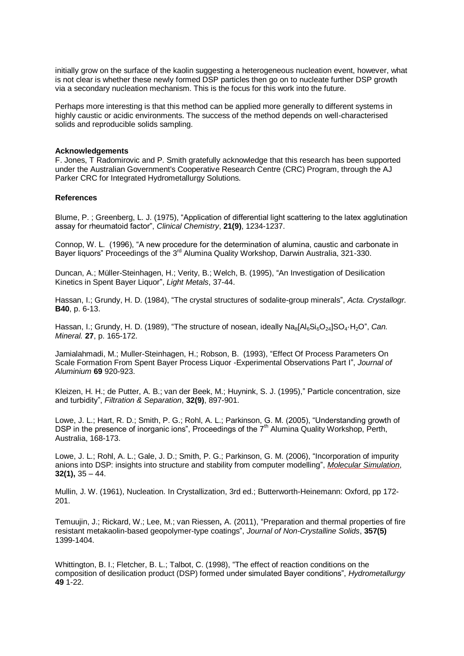initially grow on the surface of the kaolin suggesting a heterogeneous nucleation event, however, what is not clear is whether these newly formed DSP particles then go on to nucleate further DSP growth via a secondary nucleation mechanism. This is the focus for this work into the future.

Perhaps more interesting is that this method can be applied more generally to different systems in highly caustic or acidic environments. The success of the method depends on well-characterised solids and reproducible solids sampling.

### **Acknowledgements**

F. Jones, T Radomirovic and P. Smith gratefully acknowledge that this research has been supported under the Australian Government's Cooperative Research Centre (CRC) Program, through the AJ Parker CRC for Integrated Hydrometallurgy Solutions.

### **References**

Blume, P. ; Greenberg, L. J. (1975), "Application of differential light scattering to the latex agglutination assay for rheumatoid factor", *Clinical Chemistry*, **21(9)**, 1234-1237.

Connop, W. L. (1996), "A new procedure for the determination of alumina, caustic and carbonate in Bayer liquors" Proceedings of the 3<sup>rd</sup> Alumina Quality Workshop, Darwin Australia, 321-330.

Duncan, A.; Müller-Steinhagen, H.; Verity, B.; Welch, B. (1995), "An Investigation of Desilication Kinetics in Spent Bayer Liquor", *Light Metals*, 37-44.

Hassan, I.; Grundy, H. D. (1984), "The crystal structures of sodalite-group minerals", *Acta. Crystallogr.* **B40**, p. 6-13.

Hassan, I.; Grundy, H. D. (1989), "The structure of nosean, ideally Na<sub>8</sub>[Al<sub>6</sub>Si<sub>6</sub>O<sub>24</sub>]SO<sub>4</sub>·H<sub>2</sub>O", *Can. Mineral.* **27**, p. 165-172.

Jamialahmadi, M.; Muller-Steinhagen, H.; Robson, B. (1993), "Effect Of Process Parameters On Scale Formation From Spent Bayer Process Liquor -Experimental Observations Part I", *Journal of Aluminium* **69** 920-923.

[Kleizen,](http://www.sciencedirect.com/science?_ob=RedirectURL&_method=outwardLink&_partnerName=27983&_origin=article&_zone=art_page&_linkType=scopusAuthorDocuments&_targetURL=http%3A%2F%2Fwww.scopus.com%2Fscopus%2Finward%2Fauthor.url%3FpartnerID%3D10%26rel%3D3.0.0%26sortField%3Dcited%26sortOrder%3Dasc%26author%3DKleizen,%2520H.%2520H.%26authorID%3D6602235952%26md5%3D429450a06f33e2968406c41953101327&_acct=C000004498&_version=1&_userid=41361&md5=20fd8d2468ac7574a170c1edb8266655) H. H.; [de Putter,](http://www.sciencedirect.com/science?_ob=RedirectURL&_method=outwardLink&_partnerName=27983&_origin=article&_zone=art_page&_linkType=scopusAuthorDocuments&_targetURL=http%3A%2F%2Fwww.scopus.com%2Fscopus%2Finward%2Fauthor.url%3FpartnerID%3D10%26rel%3D3.0.0%26sortField%3Dcited%26sortOrder%3Dasc%26author%3Dde%2520Putter,%2520A.%2520B.%26authorID%3D6507635690%26md5%3Dff891603e9e4ebb1c5a9bf3ef1a03071&_acct=C000004498&_version=1&_userid=41361&md5=023a5711cabc2ba6f7277b4dd0a3ece8) A. B.; [van der Beek,](http://www.sciencedirect.com/science?_ob=RedirectURL&_method=outwardLink&_partnerName=27983&_origin=article&_zone=art_page&_linkType=scopusAuthorDocuments&_targetURL=http%3A%2F%2Fwww.scopus.com%2Fscopus%2Finward%2Fauthor.url%3FpartnerID%3D10%26rel%3D3.0.0%26sortField%3Dcited%26sortOrder%3Dasc%26author%3Dvan%2520der%2520Beek,%2520M.%26authorID%3D6603417713%26md5%3Dbbbbc365b33421bb5a0d10c5c182d77b&_acct=C000004498&_version=1&_userid=41361&md5=bf380a622e63b211957f02f09da59760) M.; [Huynink,](http://www.sciencedirect.com/science?_ob=RedirectURL&_method=outwardLink&_partnerName=27983&_origin=article&_zone=art_page&_linkType=scopusAuthorDocuments&_targetURL=http%3A%2F%2Fwww.scopus.com%2Fscopus%2Finward%2Fauthor.url%3FpartnerID%3D10%26rel%3D3.0.0%26sortField%3Dcited%26sortOrder%3Dasc%26author%3DHuynink,%2520S.%2520J.%26authorID%3D6505772549%26md5%3Df7994fbc756ad52d85cd927638269f56&_acct=C000004498&_version=1&_userid=41361&md5=73bbc8e4adeecd3ea197553134611dbb) S. J. (1995)," Particle concentration, size and turbidity", *[Filtration & Separation](http://www.sciencedirect.com/science/journal/00151882)*, **[32\(9\)](http://www.sciencedirect.com/science?_ob=PublicationURL&_tockey=%23TOC%236098%231995%23999679990%2314368%23FLP%23&_cdi=6098&_pubType=J&view=c&_auth=y&_acct=C000004498&_version=1&_urlVersion=0&_userid=41361&md5=f80ce3f9785d41999d5b3ea0353e5727)**, 897-901.

Lowe, J. L.; Hart, R. D.; Smith, P. G.; Rohl, A. L.; Parkinson, G. M. (2005), "Understanding growth of DSP in the presence of inorganic ions", Proceedings of the  $7<sup>th</sup>$  Alumina Quality Workshop, Perth, Australia, 168-173.

Lowe, J. L.; Rohl, A. L.; Gale, J. D.; Smith, P. G.; Parkinson, G. M. (2006), "Incorporation of impurity anions into DSP: insights into structure and stability from computer modelling", *[Molecular Simulation](http://www.informaworld.com/smpp/title~db=all~content=t713644482)*, **[32](http://www.informaworld.com/smpp/title~db=all~content=t713644482~tab=issueslist~branches=32#v32)[\(1\),](http://www.informaworld.com/smpp/title~db=all~content=g743847067)** 35 – 44.

Mullin, J. W. (1961), Nucleation. In Crystallization, 3rd ed.; Butterworth-Heinemann: Oxford, pp 172- 201.

[Temuujin,](http://www.sciencedirect.com/science?_ob=RedirectURL&_method=outwardLink&_partnerName=27983&_origin=article&_zone=art_page&_linkType=scopusAuthorDocuments&_targetURL=http%3A%2F%2Fwww.scopus.com%2Fscopus%2Finward%2Fauthor.url%3FpartnerID%3D10%26rel%3D3.0.0%26sortField%3Dcited%26sortOrder%3Dasc%26author%3DTemuujin,%2520Jadambaa%26authorID%3D35235300400%26md5%3Def910bf8d2b83add633d47823ef91471&_acct=C000004498&_version=1&_userid=41361&md5=d731c3c3f8bcd58db456319446a247a8) J.; [Rickard,](http://www.sciencedirect.com/science?_ob=RedirectURL&_method=outwardLink&_partnerName=27983&_origin=article&_zone=art_page&_linkType=scopusAuthorDocuments&_targetURL=http%3A%2F%2Fwww.scopus.com%2Fscopus%2Finward%2Fauthor.url%3FpartnerID%3D10%26rel%3D3.0.0%26sortField%3Dcited%26sortOrder%3Dasc%26author%3DRickard,%2520William%26authorID%3D35171231700%26md5%3Ddbf0fe8df8a430538c87308fdce4b22e&_acct=C000004498&_version=1&_userid=41361&md5=b9df92e732b0220f5352df6e17a4bbe2) W.; [Lee,](http://www.sciencedirect.com/science?_ob=RedirectURL&_method=outwardLink&_partnerName=27983&_origin=article&_zone=art_page&_linkType=scopusAuthorDocuments&_targetURL=http%3A%2F%2Fwww.scopus.com%2Fscopus%2Finward%2Fauthor.url%3FpartnerID%3D10%26rel%3D3.0.0%26sortField%3Dcited%26sortOrder%3Dasc%26author%3DLee,%2520Melissa%26authorID%3D35170308300%26md5%3D59b74e54eff2f057da7715dd7c3fcbd9&_acct=C000004498&_version=1&_userid=41361&md5=fd578ff7f8cd2c280835d46eb4b7fd03) M.; [van Riessen](http://www.sciencedirect.com/science?_ob=RedirectURL&_method=outwardLink&_partnerName=27983&_origin=article&_zone=art_page&_linkType=scopusAuthorDocuments&_targetURL=http%3A%2F%2Fwww.scopus.com%2Fscopus%2Finward%2Fauthor.url%3FpartnerID%3D10%26rel%3D3.0.0%26sortField%3Dcited%26sortOrder%3Dasc%26author%3Dvan%2520Riessen,%2520Arie%26authorID%3D35235690000%26md5%3Dfd24b30e6f51577c22a80950f79e9fcc&_acct=C000004498&_version=1&_userid=41361&md5=f6593a34aeaf8aa5c15f0b1ce94f3ef7), A. (2011), "Preparation and thermal properties of fire resistant metakaolin-based geopolymer-type coatings", *[Journal of Non-Crystalline Solids](http://www.sciencedirect.com/science/journal/00223093)*, **357(5)** 1399-1404.

Whittington, B. I.; Fletcher, B. L.; Talbot, C. (1998), "The effect of reaction conditions on the composition of desilication product (DSP) formed under simulated Bayer conditions", *Hydrometallurgy* **49** 1-22.